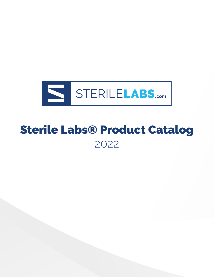

# Sterile Labs® Product Catalog  $-2022 -$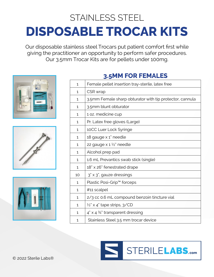# STAINLESS STEEL **DISPOSABLE TROCAR KITS**

Our disposable stainless steel Trocars put patient comfort first while giving the practitioner an opportunity to perform safer procedures. Our 3.5mm Trocar Kits are for pellets under 100mg.







### **3.5MM FOR FEMALES**

| 1            | Female pellet insertion tray-sterile, latex free         |
|--------------|----------------------------------------------------------|
| 1            | CSR wrap                                                 |
| 1            | 3.5mm Female sharp obturator with tip protector, cannula |
| 1            | 3.5mm blunt obturator                                    |
| 1.           | 1 oz. medicine cup                                       |
| 1.           | Pr. Latex free gloves (Large)                            |
| 1            | 10CC Luer Lock Syringe                                   |
| 1            | 18 gauge x 1" needle                                     |
| 1            | 22 gauge $\times$ 1 $\frac{1}{2}$ " needle               |
| 1            | Alcohol prep pad                                         |
| 1            | 1.6 mL Prevantics swab stick (single)                    |
| 1            | 18" x 26" fenestrated drape                              |
| 10           | 3" x 3", gauze dressings                                 |
| 1            | Plastic Posi-Grip™ forceps                               |
| 1            | #11 scalpel                                              |
| 1            | 2/3 cc 0.6 mL compound benzoin tincture vial             |
| 1            | $\frac{1}{2}$ x 4" tape strips, 3/CD                     |
| $\mathbf{1}$ | $4" \times 4\frac{3}{4"$ transparent dressing            |
| $\mathbf{1}$ | Stainless Steel 3.5 mm trocar device                     |